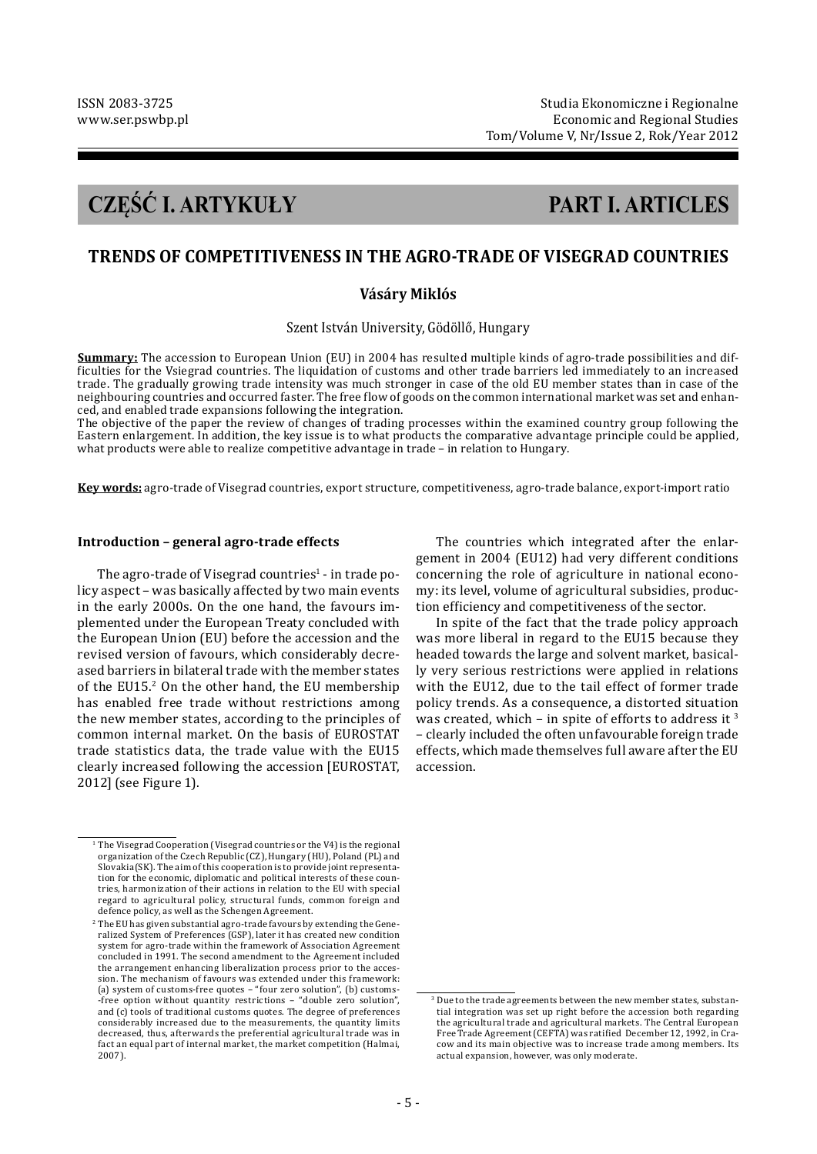# **CZĘŚĆ I. ARTYKUŁY PART I. ARTICLES**

# **TRENDS OF COMPETITIVENESS IN THE AGRO-TRADE OF VISEGRAD COUNTRIES**

# **Vásáry Miklós**

Szent István University, Gödöllő, Hungary

**Summary:** The accession to European Union (EU) in 2004 has resulted multiple kinds of agro-trade possibilities and difficulties for the Vsiegrad countries. The liquidation of customs and other trade barriers led immediately to an increased trade. The gradually growing trade intensity was much stronger in case of the old EU member states than in case of the neighbouring countries and occurred faster. The free flow of goods on the common international market was set and enhanced, and enabled trade expansions following the integration.

The objective of the paper the review of changes of trading processes within the examined country group following the Eastern enlargement. In addition, the key issue is to what products the comparative advantage principle could be applied, what products were able to realize competitive advantage in trade – in relation to Hungary.

**Key words:** agro-trade of Visegrad countries, export structure, competitiveness, agro-trade balance, export-import ratio

#### **Introduction – general agro-trade effects**

The agro-trade of Visegrad countries<sup>1</sup> - in trade policy aspect – was basically affected by two main events in the early 2000s. On the one hand, the favours implemented under the European Treaty concluded with the European Union (EU) before the accession and the revised version of favours, which considerably decreased barriers in bilateral trade with the member states of the EU15.<sup>2</sup> On the other hand, the EU membership has enabled free trade without restrictions among the new member states, according to the principles of common internal market. On the basis of EUROSTAT trade statistics data, the trade value with the EU15 clearly increased following the accession [EUROSTAT, 2012] (see Figure 1).

The countries which integrated after the enlargement in 2004 (EU12) had very different conditions concerning the role of agriculture in national economy: its level, volume of agricultural subsidies, production efficiency and competitiveness of the sector.

In spite of the fact that the trade policy approach was more liberal in regard to the EU15 because they headed towards the large and solvent market, basically very serious restrictions were applied in relations with the EU12, due to the tail effect of former trade policy trends. As a consequence, a distorted situation was created, which – in spite of efforts to address it  $3$ – clearly included the often unfavourable foreign trade effects, which made themselves full aware after the EU accession.

<sup>&</sup>lt;sup>1</sup> The Visegrad Cooperation (Visegrad countries or the V4) is the regional organization of the Czech Republic (CZ), Hungary (HU), Poland (PL) and Slovakia(SK). The aim of this cooperation is to provide joint representation for the economic, diplomatic and political interests of these countries, harmonization of their actions in relation to the EU with special regard to agricultural policy, structural funds, common foreign and defence policy, as well as the Schengen Agreement.

 $2$  The EU has given substantial agro-trade favours by extending the Generalized System of Preferences (GSP), later it has created new condition system for agro-trade within the framework of Association Agreement concluded in 1991. The second amendment to the Agreement included the arrangement enhancing liberalization process prior to the accession. The mechanism of favours was extended under this framework: (a) system of customs-free quotes – "four zero solution", (b) customs- -free option without quantity restrictions – "double zero solution", and (c) tools of traditional customs quotes. The degree of preferences considerably increased due to the measurements, the quantity limits decreased, thus, afterwards the preferential agricultural trade was in fact an equal part of internal market, the market competition (Halmai, 2007).

<sup>3</sup> Due to the trade agreements between the new member states, substantial integration was set up right before the accession both regarding the agricultural trade and agricultural markets. The Central European Free Trade Agreement (CEFTA) was ratified December 12, 1992, in Cracow and its main objective was to increase trade among members. Its actual expansion, however, was only moderate.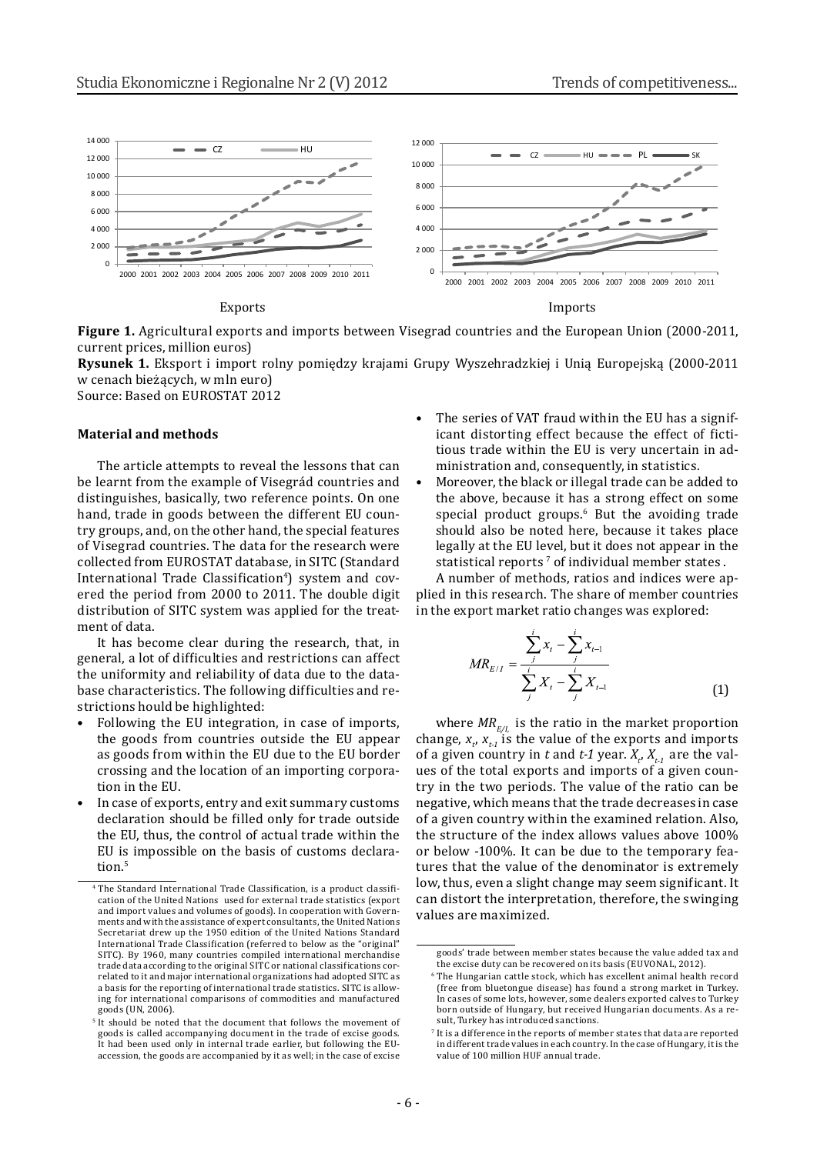

**Figure 1.** Agricultural exports and imports between Visegrad countries and the European Union (2000-2011, current prices, million euros)

**Rysunek 1.** Eksport i import rolny pomiędzy krajami Grupy Wyszehradzkiej i Unią Europejską (2000-2011 w cenach bieżących, w mln euro)

Source: Based on EUROSTAT 2012

#### **Material and methods**

The article attempts to reveal the lessons that can be learnt from the example of Visegrád countries and distinguishes, basically, two reference points. On one hand, trade in goods between the different EU country groups, and, on the other hand, the special features of Visegrad countries. The data for the research were collected from EUROSTAT database, in SITC (Standard International Trade Classification<sup>4</sup>) system and covered the period from 2000 to 2011. The double digit distribution of SITC system was applied for the treatment of data.

It has become clear during the research, that, in general, a lot of difficulties and restrictions can affect the uniformity and reliability of data due to the database characteristics. The following difficulties and restrictions hould be highlighted:

- Following the EU integration, in case of imports, the goods from countries outside the EU appear as goods from within the EU due to the EU border crossing and the location of an importing corporation in the EU.
- In case of exports, entry and exit summary customs declaration should be filled only for trade outside the EU, thus, the control of actual trade within the EU is impossible on the basis of customs declaration.<sup>5</sup>
- The series of VAT fraud within the EU has a significant distorting effect because the effect of fictitious trade within the EU is very uncertain in administration and, consequently, in statistics.
- Moreover, the black or illegal trade can be added to the above, because it has a strong effect on some special product groups.<sup>6</sup> But the avoiding trade should also be noted here, because it takes place legally at the EU level, but it does not appear in the statistical reports<sup>7</sup> of individual member states.

A number of methods, ratios and indices were applied in this research. The share of member countries in the export market ratio changes was explored:

$$
MR_{E/I} = \frac{\sum_{j}^{i} x_{i} - \sum_{j}^{i} x_{i-1}}{\sum_{j}^{i} X_{i} - \sum_{j}^{i} X_{i-1}}
$$
(1)

where  $MR_{E/I_i}$  is the ratio in the market proportion change,  $x_t$ ,  $x_{t-1}$  is the value of the exports and imports of a given country in *t* and *t*-1 year.  $X_t$ ,  $X_{t-1}$  are the values of the total exports and imports of a given country in the two periods. The value of the ratio can be negative, which means that the trade decreases in case of a given country within the examined relation. Also, the structure of the index allows values above 100% or below -100%. It can be due to the temporary features that the value of the denominator is extremely low, thus, even a slight change may seem significant. It can distort the interpretation, therefore, the swinging values are maximized.

<sup>&</sup>lt;sup>4</sup> The Standard International Trade Classification, is a product classification of the United Nations used for external trade statistics (export and import values and volumes of goods). In cooperation with Governments and with the assistance of expert consultants, the United Nations Secretariat drew up the 1950 edition of the United Nations Standard International Trade Classification (referred to below as the "original" SITC). By 1960, many countries compiled international merchandise trade data according to the original SITC or national classifications correlated to it and major international organizations had adopted SITC as a basis for the reporting of international trade statistics. SITC is allowing for international comparisons of commodities and manufactured goods (UN, 2006).

<sup>&</sup>lt;sup>5</sup> It should be noted that the document that follows the movement of goods is called accompanying document in the trade of excise goods. It had been used only in internal trade earlier, but following the EUaccession, the goods are accompanied by it as well; in the case of excise

goods' trade between member states because the value added tax and the excise duty can be recovered on its basis (EUVONAL, 2012).

<sup>6</sup> The Hungarian cattle stock, which has excellent animal health record (free from bluetongue disease) has found a strong market in Turkey. In cases of some lots, however, some dealers exported calves to Turkey born outside of Hungary, but received Hungarian documents. As a result, Turkey has introduced sanctions.

<sup>7</sup> It is a difference in the reports of member states that data are reported in different trade values in each country. In the case of Hungary, it is the value of 100 million HUF annual trade.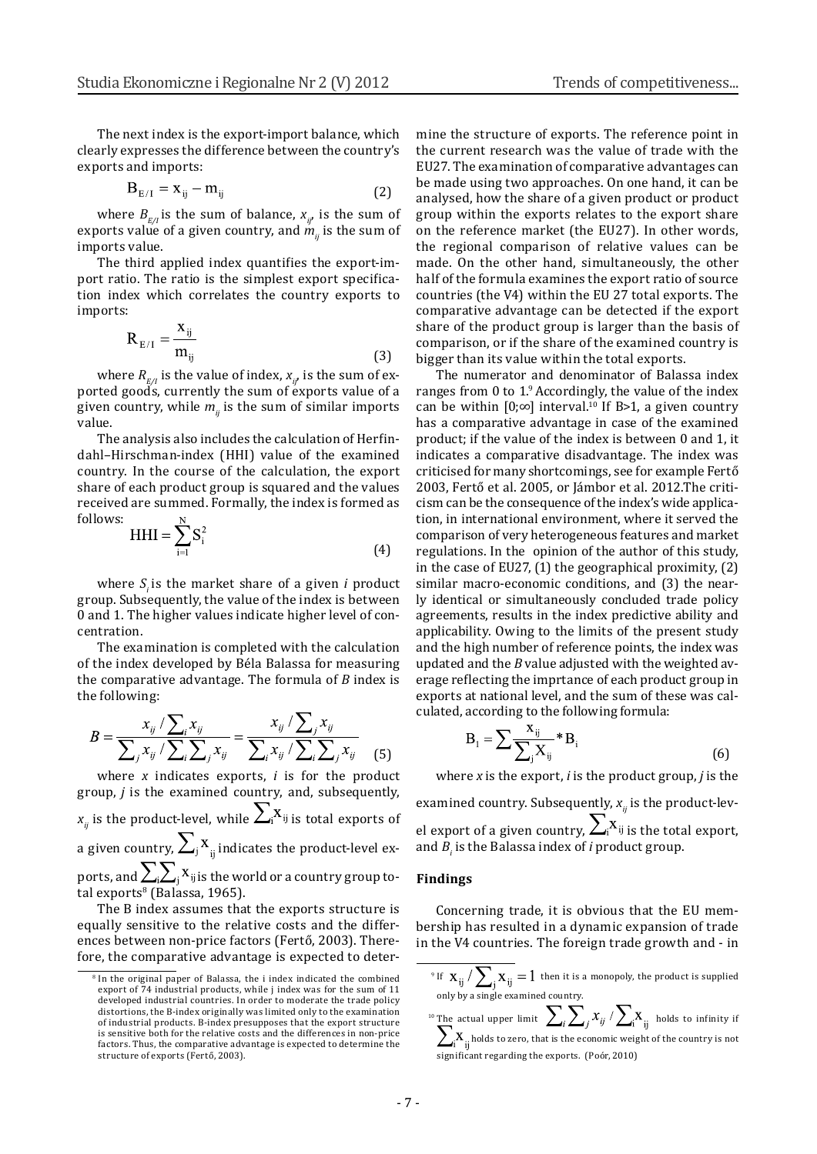The next index is the export-import balance, which clearly expresses the difference between the country's exports and imports:

$$
\mathbf{B}_{E/I} = \mathbf{x}_{ij} - \mathbf{m}_{ij} \tag{2}
$$

where  $B_{E/I}$  is the sum of balance,  $x_{ij}$ , is the sum of exports value of a given country, and  $\dot{m}_{ij}$  is the sum of imports value.

The third applied index quantifies the export-import ratio. The ratio is the simplest export specification index which correlates the country exports to imports:

$$
R_{E/I} = \frac{x_{ij}}{m_{ij}}\tag{3}
$$

where  $R_{E/I}$  is the value of index,  $x_{ij}$ , is the sum of exported goods, currently the sum of exports value of a given country, while  $m_{ij}$  is the sum of similar imports value.

The analysis also includes the calculation of Herfindahl–Hirschman-index (HHI) value of the examined country. In the course of the calculation, the export share of each product group is squared and the values received are summed. Formally, the index is formed as follows:  $\overline{N}$ 

$$
HHI = \sum_{i=1} S_i^2
$$
 (4)

where *Si* is the market share of a given *i* product group. Subsequently, the value of the index is between 0 and 1. The higher values indicate higher level of concentration.

The examination is completed with the calculation of the index developed by Béla Balassa for measuring the comparative advantage. The formula of *B* index is the following:

$$
B = \frac{x_{ij} / \sum_{i} x_{ij}}{\sum_{j} x_{ij} / \sum_{i} \sum_{j} x_{ij}} = \frac{x_{ij} / \sum_{j} x_{ij}}{\sum_{i} x_{ij} / \sum_{i} \sum_{j} x_{ij}}
$$
(5)

where *x* indicates exports, *i* is for the product group, *j* is the examined country, and, subsequently, *x<sub>ij</sub>* is the product-level, while  $\sum_i$ <sup>x</sup><sub>ij</sub> is total exports of a given country,  $\sum_j X_{ij}$  indicates the product-level exports, and  $\sum_i \sum_j X_{ij}$  is the world or a country group total exports<sup>8</sup> (Balassa, 1965).

The B index assumes that the exports structure is equally sensitive to the relative costs and the differences between non-price factors (Fertő, 2003). Therefore, the comparative advantage is expected to determine the structure of exports. The reference point in the current research was the value of trade with the EU27. The examination of comparative advantages can be made using two approaches. On one hand, it can be analysed, how the share of a given product or product group within the exports relates to the export share on the reference market (the EU27). In other words, the regional comparison of relative values can be made. On the other hand, simultaneously, the other half of the formula examines the export ratio of source countries (the V4) within the EU 27 total exports. The comparative advantage can be detected if the export share of the product group is larger than the basis of comparison, or if the share of the examined country is bigger than its value within the total exports.

The numerator and denominator of Balassa index ranges from 0 to 1.9 Accordingly, the value of the index can be within [0;∞] interval.<sup>10</sup> If B>1, a given country has a comparative advantage in case of the examined product; if the value of the index is between 0 and 1, it indicates a comparative disadvantage. The index was criticised for many shortcomings, see for example Fertő 2003, Fertő et al. 2005, or Jámbor et al. 2012.The criticism can be the consequence of the index's wide application, in international environment, where it served the comparison of very heterogeneous features and market regulations. In the opinion of the author of this study, in the case of EU27, (1) the geographical proximity, (2) similar macro-economic conditions, and (3) the nearly identical or simultaneously concluded trade policy agreements, results in the index predictive ability and applicability. Owing to the limits of the present study and the high number of reference points, the index was updated and the *B* value adjusted with the weighted average reflecting the imprtance of each product group in exports at national level, and the sum of these was calculated, according to the following formula:

$$
B_{1} = \sum \frac{X_{ij}}{\sum_{j} X_{ij}} * B_{i}
$$
 (6)

where *x* is the export, *i* is the product group, *j* is the

examined country. Subsequently,  $x_{ij}$  is the product-level export of a given country,  $\angle_i^{\Lambda_{ij}}$  is the total export, and  $B_i$  is the Balassa index of  $i$  product group.

### **Findings**

Concerning trade, it is obvious that the EU membership has resulted in a dynamic expansion of trade in the V4 countries. The foreign trade growth and - in

<sup>9</sup> If  $X_{11}$  /  $\sum X_{22} = 1$  then it is a monopoly, the product is supplied only by a single examined country.

<sup>8</sup> In the original paper of Balassa, the i index indicated the combined export of 74 industrial products, while j index was for the sum of 11 developed industrial countries. In order to moderate the trade policy distortions, the B-index originally was limited only to the examination of industrial products. B-index presupposes that the export structure is sensitive both for the relative costs and the differences in non-price factors. Thus, the comparative advantage is expected to determine the structure of exports (Fertő, 2003).

<sup>&</sup>lt;sup>10</sup> The actual upper limit  $\sum_i \sum_i x_{ii}^2 / \sum_i X_{ii}$  holds to infinity if holds to zero, that is the economic weight of the country is not significant regarding the exports. (Poór, 2010)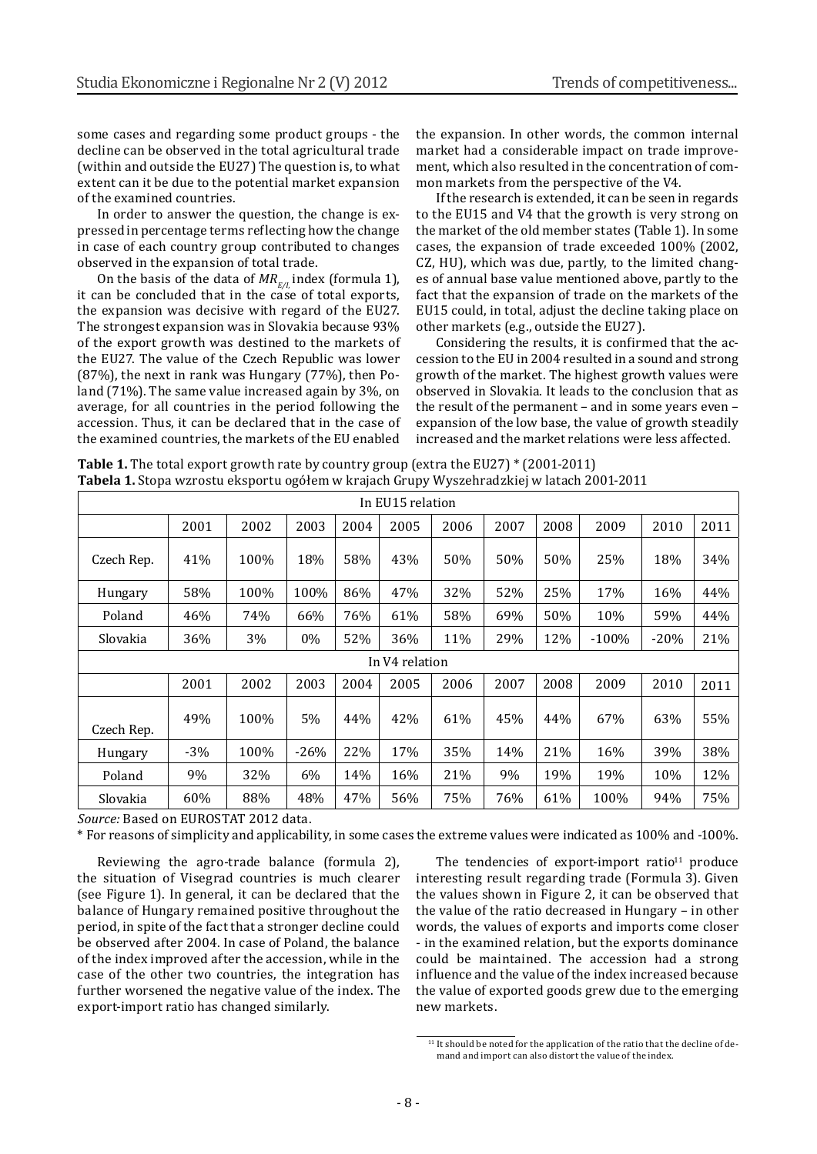some cases and regarding some product groups - the decline can be observed in the total agricultural trade (within and outside the EU27) The question is, to what extent can it be due to the potential market expansion of the examined countries.

In order to answer the question, the change is expressed in percentage terms reflecting how the change in case of each country group contributed to changes observed in the expansion of total trade.

On the basis of the data of  $MR_{F/I}$  index (formula 1), it can be concluded that in the case of total exports, the expansion was decisive with regard of the EU27. The strongest expansion was in Slovakia because 93% of the export growth was destined to the markets of the EU27. The value of the Czech Republic was lower (87%), the next in rank was Hungary (77%), then Poland (71%). The same value increased again by 3%, on average, for all countries in the period following the accession. Thus, it can be declared that in the case of the examined countries, the markets of the EU enabled

the expansion. In other words, the common internal market had a considerable impact on trade improvement, which also resulted in the concentration of common markets from the perspective of the V4.

If the research is extended, it can be seen in regards to the EU15 and V4 that the growth is very strong on the market of the old member states (Table 1). In some cases, the expansion of trade exceeded 100% (2002, CZ, HU), which was due, partly, to the limited changes of annual base value mentioned above, partly to the fact that the expansion of trade on the markets of the EU15 could, in total, adjust the decline taking place on other markets (e.g., outside the EU27).

Considering the results, it is confirmed that the accession to the EU in 2004 resulted in a sound and strong growth of the market. The highest growth values were observed in Slovakia. It leads to the conclusion that as the result of the permanent – and in some years even – expansion of the low base, the value of growth steadily increased and the market relations were less affected.

**Table 1.** The total export growth rate by country group (extra the EU27) \* (2001-2011) **Tabela 1.** Stopa wzrostu eksportu ogółem w krajach Grupy Wyszehradzkiej w latach 2001-2011

| In EU15 relation |                |      |        |      |      |      |      |      |         |        |      |  |
|------------------|----------------|------|--------|------|------|------|------|------|---------|--------|------|--|
|                  | 2001           | 2002 | 2003   | 2004 | 2005 | 2006 | 2007 | 2008 | 2009    | 2010   | 2011 |  |
| Czech Rep.       | 41%            | 100% | 18%    | 58%  | 43%  | 50%  | 50%  | 50%  | 25%     | 18%    | 34%  |  |
| Hungary          | 58%            | 100% | 100%   | 86%  | 47%  | 32%  | 52%  | 25%  | 17%     | 16%    | 44%  |  |
| Poland           | 46%            | 74%  | 66%    | 76%  | 61%  | 58%  | 69%  | 50%  | 10%     | 59%    | 44%  |  |
| Slovakia         | 36%            | 3%   | 0%     | 52%  | 36%  | 11%  | 29%  | 12%  | $-100%$ | $-20%$ | 21%  |  |
|                  | In V4 relation |      |        |      |      |      |      |      |         |        |      |  |
|                  | 2001           | 2002 | 2003   | 2004 | 2005 | 2006 | 2007 | 2008 | 2009    | 2010   | 2011 |  |
| Czech Rep.       | 49%            | 100% | 5%     | 44%  | 42%  | 61%  | 45%  | 44%  | 67%     | 63%    | 55%  |  |
| Hungary          | $-3\%$         | 100% | $-26%$ | 22%  | 17%  | 35%  | 14%  | 21%  | 16%     | 39%    | 38%  |  |
| Poland           | 9%             | 32%  | 6%     | 14%  | 16%  | 21%  | 9%   | 19%  | 19%     | 10%    | 12%  |  |
| Slovakia         | 60%            | 88%  | 48%    | 47%  | 56%  | 75%  | 76%  | 61%  | 100%    | 94%    | 75%  |  |

*Source:* Based on EUROSTAT 2012 data.

\* For reasons of simplicity and applicability, in some cases the extreme values were indicated as 100% and -100%.

Reviewing the agro-trade balance (formula 2), the situation of Visegrad countries is much clearer (see Figure 1). In general, it can be declared that the balance of Hungary remained positive throughout the period, in spite of the fact that a stronger decline could be observed after 2004. In case of Poland, the balance of the index improved after the accession, while in the case of the other two countries, the integration has further worsened the negative value of the index. The export-import ratio has changed similarly.

The tendencies of export-import ratio $11$  produce interesting result regarding trade (Formula 3). Given the values shown in Figure 2, it can be observed that the value of the ratio decreased in Hungary – in other words, the values of exports and imports come closer - in the examined relation, but the exports dominance could be maintained. The accession had a strong influence and the value of the index increased because the value of exported goods grew due to the emerging new markets.

<sup>&</sup>lt;sup>11</sup> It should be noted for the application of the ratio that the decline of demand and import can also distort the value of the index.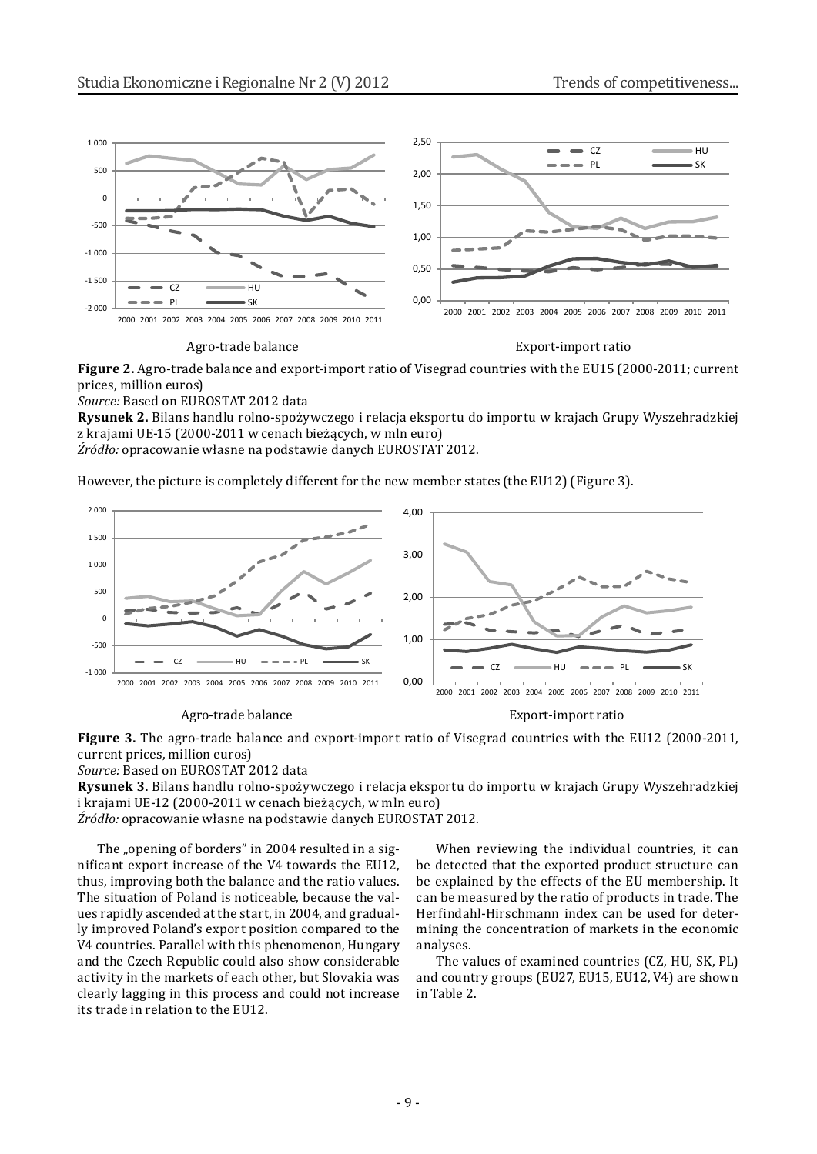

#### Agro-trade balance Export-import ratio

**Figure 2.** Agro-trade balance and export-import ratio of Visegrad countries with the EU15 (2000-2011; current prices, million euros)

*Source:* Based on EUROSTAT 2012 data

**Rysunek 2.** Bilans handlu rolno-spożywczego i relacja eksportu do importu w krajach Grupy Wyszehradzkiej z krajami UE-15 (2000-2011 w cenach bieżących, w mln euro)

*Źródło:* opracowanie własne na podstawie danych EUROSTAT 2012.

However, the picture is completely different for the new member states (the EU12) (Figure 3).



Agro-trade balance **Export-import ratio** 

**Figure 3.** The agro-trade balance and export-import ratio of Visegrad countries with the EU12 (2000-2011, current prices, million euros)

*Source:* Based on EUROSTAT 2012 data

**Rysunek 3.** Bilans handlu rolno-spożywczego i relacja eksportu do importu w krajach Grupy Wyszehradzkiej i krajami UE-12 (2000-2011 w cenach bieżących, w mln euro)

*Źródło:* opracowanie własne na podstawie danych EUROSTAT 2012.

The "opening of borders" in 2004 resulted in a significant export increase of the V4 towards the EU12, thus, improving both the balance and the ratio values. The situation of Poland is noticeable, because the values rapidly ascended at the start, in 2004, and gradually improved Poland's export position compared to the V4 countries. Parallel with this phenomenon, Hungary and the Czech Republic could also show considerable activity in the markets of each other, but Slovakia was clearly lagging in this process and could not increase its trade in relation to the EU12.

When reviewing the individual countries, it can be detected that the exported product structure can be explained by the effects of the EU membership. It can be measured by the ratio of products in trade. The Herfindahl-Hirschmann index can be used for determining the concentration of markets in the economic analyses.

The values of examined countries (CZ, HU, SK, PL) and country groups (EU27, EU15, EU12, V4) are shown in Table 2.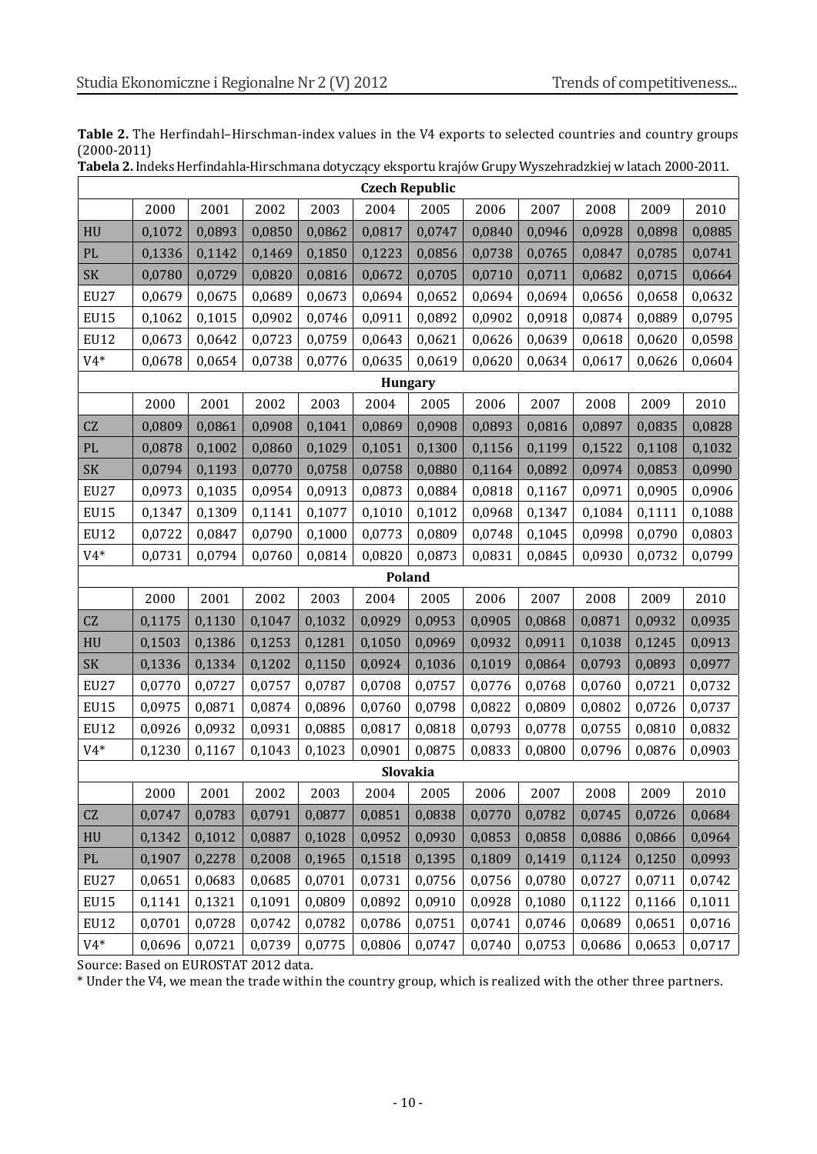| Table 2. The Herfindahl-Hirschman-index values in the V4 exports to selected countries and country groups |  |
|-----------------------------------------------------------------------------------------------------------|--|
| $(2000-2011)$                                                                                             |  |

| Tabela 2. Indeks Herfindahla-Hirschmana dotyczący eksportu krajów Grupy Wyszehradzkiej w latach 2000-2011. |
|------------------------------------------------------------------------------------------------------------|
| .                                                                                                          |

| <b>Czech Republic</b>  |        |        |        |        |          |        |        |        |        |        |        |
|------------------------|--------|--------|--------|--------|----------|--------|--------|--------|--------|--------|--------|
|                        | 2000   | 2001   | 2002   | 2003   | 2004     | 2005   | 2006   | 2007   | 2008   | 2009   | 2010   |
| HU                     | 0,1072 | 0,0893 | 0,0850 | 0,0862 | 0,0817   | 0,0747 | 0,0840 | 0,0946 | 0,0928 | 0,0898 | 0,0885 |
| PL                     | 0,1336 | 0,1142 | 0,1469 | 0,1850 | 0,1223   | 0,0856 | 0,0738 | 0,0765 | 0,0847 | 0,0785 | 0,0741 |
| SK                     | 0,0780 | 0,0729 | 0,0820 | 0,0816 | 0,0672   | 0,0705 | 0,0710 | 0,0711 | 0,0682 | 0,0715 | 0,0664 |
| <b>EU27</b>            | 0,0679 | 0,0675 | 0,0689 | 0,0673 | 0,0694   | 0,0652 | 0,0694 | 0,0694 | 0,0656 | 0,0658 | 0,0632 |
| EU15                   | 0,1062 | 0,1015 | 0,0902 | 0,0746 | 0,0911   | 0,0892 | 0,0902 | 0,0918 | 0,0874 | 0,0889 | 0,0795 |
| <b>EU12</b>            | 0,0673 | 0,0642 | 0,0723 | 0,0759 | 0,0643   | 0,0621 | 0,0626 | 0,0639 | 0,0618 | 0,0620 | 0,0598 |
| $V4*$                  | 0,0678 | 0,0654 | 0,0738 | 0,0776 | 0,0635   | 0,0619 | 0,0620 | 0,0634 | 0,0617 | 0,0626 | 0,0604 |
| <b>Hungary</b>         |        |        |        |        |          |        |        |        |        |        |        |
|                        | 2000   | 2001   | 2002   | 2003   | 2004     | 2005   | 2006   | 2007   | 2008   | 2009   | 2010   |
| CZ                     | 0,0809 | 0,0861 | 0,0908 | 0,1041 | 0,0869   | 0,0908 | 0,0893 | 0,0816 | 0,0897 | 0,0835 | 0,0828 |
| $\mathbf{P}\mathbf{L}$ | 0,0878 | 0,1002 | 0,0860 | 0,1029 | 0,1051   | 0,1300 | 0,1156 | 0,1199 | 0,1522 | 0,1108 | 0,1032 |
| SK                     | 0,0794 | 0,1193 | 0,0770 | 0,0758 | 0,0758   | 0,0880 | 0,1164 | 0,0892 | 0,0974 | 0,0853 | 0,0990 |
| <b>EU27</b>            | 0,0973 | 0,1035 | 0,0954 | 0,0913 | 0,0873   | 0,0884 | 0,0818 | 0,1167 | 0,0971 | 0,0905 | 0,0906 |
| <b>EU15</b>            | 0,1347 | 0,1309 | 0,1141 | 0,1077 | 0,1010   | 0,1012 | 0,0968 | 0,1347 | 0,1084 | 0,1111 | 0,1088 |
| <b>EU12</b>            | 0,0722 | 0,0847 | 0,0790 | 0,1000 | 0,0773   | 0,0809 | 0,0748 | 0,1045 | 0,0998 | 0,0790 | 0,0803 |
| $V4*$                  | 0,0731 | 0,0794 | 0,0760 | 0,0814 | 0,0820   | 0,0873 | 0,0831 | 0,0845 | 0,0930 | 0,0732 | 0,0799 |
|                        |        |        |        |        | Poland   |        |        |        |        |        |        |
|                        | 2000   | 2001   | 2002   | 2003   | 2004     | 2005   | 2006   | 2007   | 2008   | 2009   | 2010   |
| CZ                     | 0,1175 | 0,1130 | 0,1047 | 0,1032 | 0,0929   | 0,0953 | 0,0905 | 0,0868 | 0,0871 | 0,0932 | 0,0935 |
| ${\rm H}{\rm U}$       | 0,1503 | 0,1386 | 0,1253 | 0,1281 | 0,1050   | 0,0969 | 0,0932 | 0,0911 | 0,1038 | 0,1245 | 0,0913 |
| SK                     | 0,1336 | 0,1334 | 0,1202 | 0,1150 | 0,0924   | 0,1036 | 0,1019 | 0,0864 | 0,0793 | 0,0893 | 0,0977 |
| <b>EU27</b>            | 0,0770 | 0,0727 | 0,0757 | 0,0787 | 0,0708   | 0,0757 | 0,0776 | 0,0768 | 0,0760 | 0,0721 | 0,0732 |
| <b>EU15</b>            | 0,0975 | 0,0871 | 0,0874 | 0,0896 | 0,0760   | 0,0798 | 0,0822 | 0,0809 | 0,0802 | 0,0726 | 0,0737 |
| <b>EU12</b>            | 0,0926 | 0,0932 | 0,0931 | 0,0885 | 0,0817   | 0,0818 | 0,0793 | 0,0778 | 0,0755 | 0,0810 | 0,0832 |
| $V4*$                  | 0,1230 | 0,1167 | 0,1043 | 0,1023 | 0,0901   | 0,0875 | 0,0833 | 0,0800 | 0,0796 | 0,0876 | 0,0903 |
|                        |        |        |        |        | Slovakia |        |        |        |        |        |        |
|                        | 2000   | 2001   | 2002   | 2003   | 2004     | 2005   | 2006   | 2007   | 2008   | 2009   | 2010   |
| CZ                     | 0,0747 | 0,0783 | 0,0791 | 0,0877 | 0,0851   | 0,0838 | 0,0770 | 0,0782 | 0,0745 | 0,0726 | 0,0684 |
| HU                     | 0,1342 | 0,1012 | 0,0887 | 0,1028 | 0,0952   | 0,0930 | 0,0853 | 0,0858 | 0,0886 | 0,0866 | 0,0964 |
| PL                     | 0,1907 | 0,2278 | 0,2008 | 0,1965 | 0,1518   | 0,1395 | 0,1809 | 0,1419 | 0,1124 | 0,1250 | 0,0993 |
| <b>EU27</b>            | 0,0651 | 0,0683 | 0,0685 | 0,0701 | 0,0731   | 0,0756 | 0,0756 | 0,0780 | 0,0727 | 0,0711 | 0,0742 |
| <b>EU15</b>            | 0,1141 | 0,1321 | 0,1091 | 0,0809 | 0,0892   | 0,0910 | 0,0928 | 0,1080 | 0,1122 | 0,1166 | 0,1011 |
| <b>EU12</b>            | 0,0701 | 0,0728 | 0,0742 | 0,0782 | 0,0786   | 0,0751 | 0,0741 | 0,0746 | 0,0689 | 0,0651 | 0,0716 |
| $V4*$                  | 0,0696 | 0,0721 | 0,0739 | 0,0775 | 0,0806   | 0,0747 | 0,0740 | 0,0753 | 0,0686 | 0,0653 | 0,0717 |

Source: Based on EUROSTAT 2012 data.

\* Under the V4, we mean the trade within the country group, which is realized with the other three partners.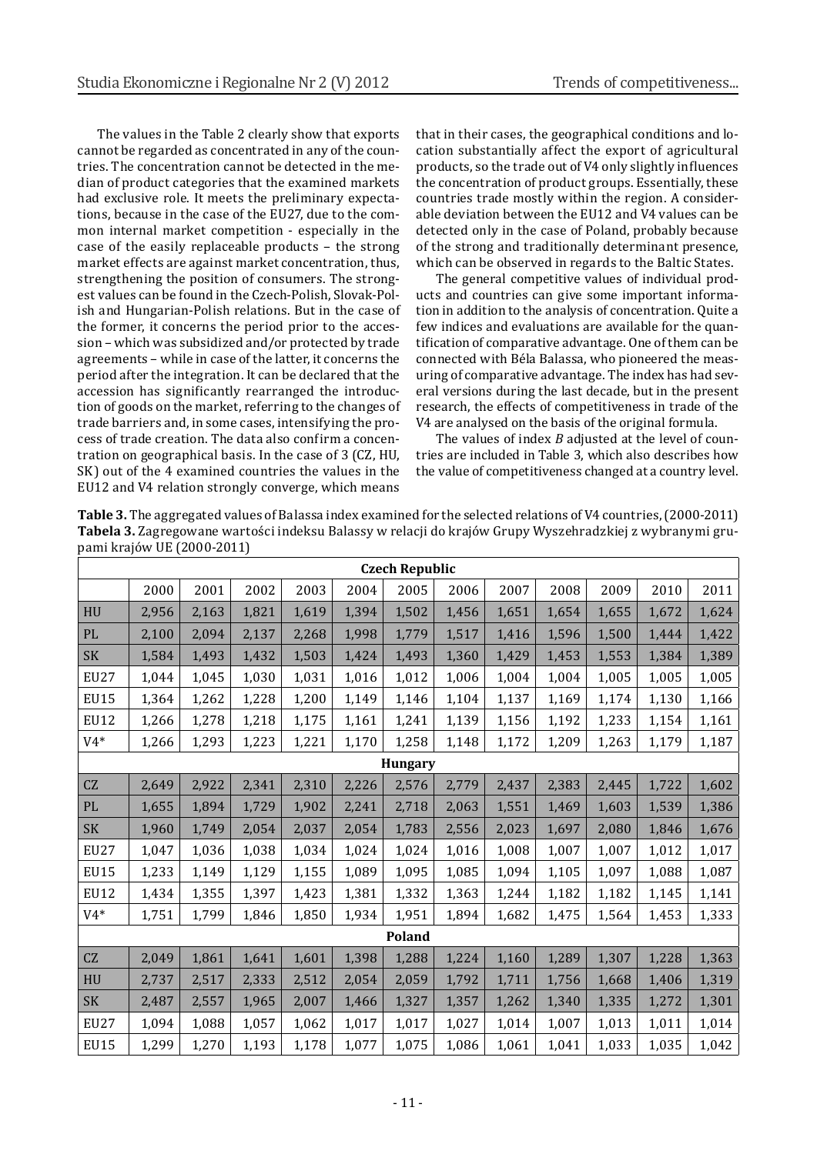The values in the Table 2 clearly show that exports cannot be regarded as concentrated in any of the countries. The concentration cannot be detected in the median of product categories that the examined markets had exclusive role. It meets the preliminary expectations, because in the case of the EU27, due to the common internal market competition - especially in the case of the easily replaceable products – the strong market effects are against market concentration, thus, strengthening the position of consumers. The strongest values can be found in the Czech-Polish, Slovak-Polish and Hungarian-Polish relations. But in the case of the former, it concerns the period prior to the accession – which was subsidized and/or protected by trade agreements – while in case of the latter, it concerns the period after the integration. It can be declared that the accession has significantly rearranged the introduction of goods on the market, referring to the changes of trade barriers and, in some cases, intensifying the process of trade creation. The data also confirm a concentration on geographical basis. In the case of 3 (CZ, HU, SK) out of the 4 examined countries the values in the EU12 and V4 relation strongly converge, which means

that in their cases, the geographical conditions and location substantially affect the export of agricultural products, so the trade out of V4 only slightly influences the concentration of product groups. Essentially, these countries trade mostly within the region. A considerable deviation between the EU12 and V4 values can be detected only in the case of Poland, probably because of the strong and traditionally determinant presence, which can be observed in regards to the Baltic States.

The general competitive values of individual products and countries can give some important information in addition to the analysis of concentration. Quite a few indices and evaluations are available for the quantification of comparative advantage. One of them can be connected with Béla Balassa, who pioneered the measuring of comparative advantage. The index has had several versions during the last decade, but in the present research, the effects of competitiveness in trade of the V4 are analysed on the basis of the original formula.

The values of index *B* adjusted at the level of countries are included in Table 3, which also describes how the value of competitiveness changed at a country level.

| Table 3. The aggregated values of Balassa index examined for the selected relations of V4 countries, (2000-2011) |
|------------------------------------------------------------------------------------------------------------------|
| Tabela 3. Zagregowane wartości indeksu Balassy w relacji do krajów Grupy Wyszehradzkiej z wybranymi gru-         |
| pami krajów UE (2000-2011)                                                                                       |

| <b>Czech Republic</b> |       |       |       |       |       |       |       |       |       |       |       |       |
|-----------------------|-------|-------|-------|-------|-------|-------|-------|-------|-------|-------|-------|-------|
|                       | 2000  | 2001  | 2002  | 2003  | 2004  | 2005  | 2006  | 2007  | 2008  | 2009  | 2010  | 2011  |
| <b>HU</b>             | 2,956 | 2,163 | 1,821 | 1,619 | 1,394 | 1,502 | 1,456 | 1,651 | 1,654 | 1,655 | 1,672 | 1,624 |
| PL                    | 2,100 | 2,094 | 2,137 | 2,268 | 1,998 | 1,779 | 1,517 | 1,416 | 1,596 | 1,500 | 1,444 | 1,422 |
| <b>SK</b>             | 1,584 | 1,493 | 1,432 | 1,503 | 1,424 | 1,493 | 1,360 | 1,429 | 1,453 | 1,553 | 1,384 | 1,389 |
| <b>EU27</b>           | 1,044 | 1,045 | 1,030 | 1,031 | 1,016 | 1,012 | 1,006 | 1,004 | 1,004 | 1,005 | 1,005 | 1,005 |
| <b>EU15</b>           | 1,364 | 1,262 | 1,228 | 1,200 | 1,149 | 1,146 | 1,104 | 1,137 | 1,169 | 1,174 | 1,130 | 1,166 |
| <b>EU12</b>           | 1,266 | 1,278 | 1,218 | 1,175 | 1,161 | 1,241 | 1,139 | 1,156 | 1,192 | 1,233 | 1,154 | 1,161 |
| $V4*$                 | 1,266 | 1,293 | 1,223 | 1,221 | 1,170 | 1,258 | 1,148 | 1,172 | 1,209 | 1,263 | 1,179 | 1,187 |
| <b>Hungary</b>        |       |       |       |       |       |       |       |       |       |       |       |       |
| CZ                    | 2,649 | 2,922 | 2,341 | 2,310 | 2,226 | 2,576 | 2,779 | 2,437 | 2,383 | 2,445 | 1,722 | 1,602 |
| PL                    | 1,655 | 1,894 | 1,729 | 1,902 | 2,241 | 2,718 | 2,063 | 1,551 | 1,469 | 1,603 | 1,539 | 1,386 |
| <b>SK</b>             | 1,960 | 1,749 | 2,054 | 2,037 | 2,054 | 1,783 | 2,556 | 2,023 | 1,697 | 2,080 | 1,846 | 1,676 |
| <b>EU27</b>           | 1,047 | 1,036 | 1,038 | 1,034 | 1,024 | 1,024 | 1,016 | 1,008 | 1,007 | 1,007 | 1,012 | 1,017 |
| <b>EU15</b>           | 1,233 | 1,149 | 1,129 | 1,155 | 1,089 | 1,095 | 1,085 | 1,094 | 1,105 | 1,097 | 1,088 | 1,087 |
| <b>EU12</b>           | 1,434 | 1,355 | 1,397 | 1,423 | 1,381 | 1,332 | 1,363 | 1,244 | 1,182 | 1,182 | 1,145 | 1,141 |
| $V4*$                 | 1,751 | 1,799 | 1,846 | 1,850 | 1,934 | 1,951 | 1,894 | 1,682 | 1,475 | 1,564 | 1,453 | 1,333 |
| Poland                |       |       |       |       |       |       |       |       |       |       |       |       |
| CZ                    | 2,049 | 1,861 | 1,641 | 1,601 | 1,398 | 1,288 | 1,224 | 1,160 | 1,289 | 1,307 | 1,228 | 1,363 |
| HU                    | 2,737 | 2,517 | 2,333 | 2,512 | 2,054 | 2,059 | 1,792 | 1,711 | 1,756 | 1,668 | 1,406 | 1,319 |
| <b>SK</b>             | 2,487 | 2,557 | 1,965 | 2,007 | 1,466 | 1,327 | 1,357 | 1,262 | 1,340 | 1,335 | 1,272 | 1,301 |
| <b>EU27</b>           | 1,094 | 1,088 | 1,057 | 1,062 | 1,017 | 1,017 | 1,027 | 1,014 | 1,007 | 1,013 | 1,011 | 1,014 |
| <b>EU15</b>           | 1,299 | 1,270 | 1,193 | 1,178 | 1,077 | 1,075 | 1,086 | 1,061 | 1,041 | 1,033 | 1,035 | 1,042 |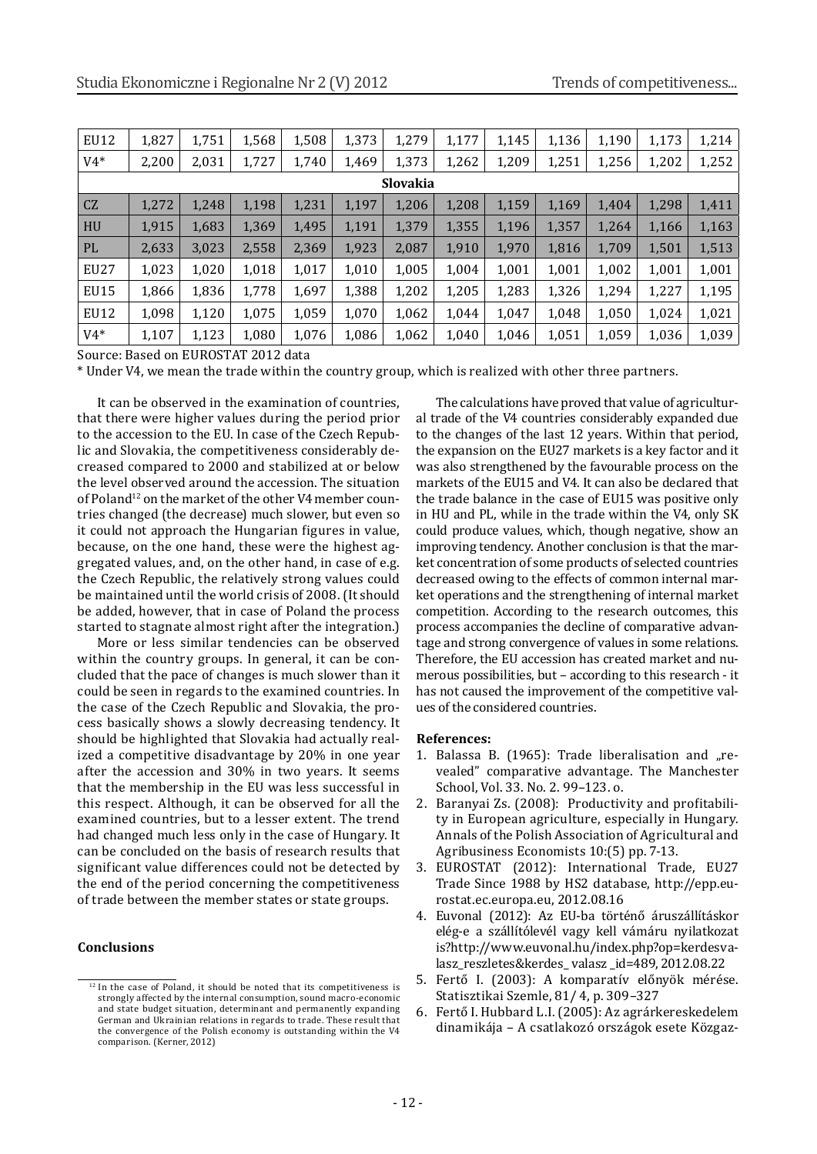| EU12            | 1,827 | 1,751 | 1,568 | 1,508 | 1,373 | 1,279 | 1,177 | 1,145 | 1,136 | 1,190 | 1,173 | 1,214 |
|-----------------|-------|-------|-------|-------|-------|-------|-------|-------|-------|-------|-------|-------|
| $V4*$           | 2,200 | 2,031 | 1,727 | 1,740 | 1,469 | 1,373 | 1,262 | 1,209 | 1,251 | 1,256 | 1,202 | 1,252 |
| <b>Slovakia</b> |       |       |       |       |       |       |       |       |       |       |       |       |
| CZ              | 1,272 | 1,248 | 1,198 | 1,231 | 1,197 | 1,206 | 1,208 | 1,159 | 1,169 | 1,404 | 1,298 | 1,411 |
| HU              | 1,915 | 1,683 | 1,369 | 1,495 | 1,191 | 1,379 | 1,355 | 1,196 | 1,357 | 1,264 | 1,166 | 1,163 |
| PL              | 2,633 | 3,023 | 2,558 | 2,369 | 1,923 | 2,087 | 1,910 | 1,970 | 1,816 | 1,709 | 1,501 | 1,513 |
| EU27            | 1,023 | 1,020 | 1,018 | 1,017 | 1,010 | 1,005 | 1,004 | 1,001 | 1,001 | 1,002 | 1,001 | 1,001 |
| EU15            | 1,866 | 1,836 | 1,778 | 1,697 | 1,388 | 1,202 | 1,205 | 1,283 | 1,326 | 1,294 | 1,227 | 1,195 |
| EU12            | 1,098 | 1,120 | 1,075 | 1,059 | 1,070 | 1,062 | 1,044 | 1,047 | 1,048 | 1,050 | 1,024 | 1,021 |
| $V4*$           | 1,107 | 1,123 | 1,080 | 1,076 | 1,086 | 1,062 | 1,040 | 1,046 | 1,051 | 1,059 | 1,036 | 1,039 |

Source: Based on EUROSTAT 2012 data

\* Under V4, we mean the trade within the country group, which is realized with other three partners.

It can be observed in the examination of countries, that there were higher values during the period prior to the accession to the EU. In case of the Czech Republic and Slovakia, the competitiveness considerably decreased compared to 2000 and stabilized at or below the level observed around the accession. The situation of Poland<sup>12</sup> on the market of the other V4 member countries changed (the decrease) much slower, but even so it could not approach the Hungarian figures in value, because, on the one hand, these were the highest aggregated values, and, on the other hand, in case of e.g. the Czech Republic, the relatively strong values could be maintained until the world crisis of 2008. (It should be added, however, that in case of Poland the process started to stagnate almost right after the integration.)

More or less similar tendencies can be observed within the country groups. In general, it can be concluded that the pace of changes is much slower than it could be seen in regards to the examined countries. In the case of the Czech Republic and Slovakia, the process basically shows a slowly decreasing tendency. It should be highlighted that Slovakia had actually realized a competitive disadvantage by 20% in one year after the accession and 30% in two years. It seems that the membership in the EU was less successful in this respect. Although, it can be observed for all the examined countries, but to a lesser extent. The trend had changed much less only in the case of Hungary. It can be concluded on the basis of research results that significant value differences could not be detected by the end of the period concerning the competitiveness of trade between the member states or state groups.

#### **Conclusions**

The calculations have proved that value of agricultural trade of the V4 countries considerably expanded due to the changes of the last 12 years. Within that period, the expansion on the EU27 markets is a key factor and it was also strengthened by the favourable process on the markets of the EU15 and V4. It can also be declared that the trade balance in the case of EU15 was positive only in HU and PL, while in the trade within the V4, only SK could produce values, which, though negative, show an improving tendency. Another conclusion is that the market concentration of some products of selected countries decreased owing to the effects of common internal market operations and the strengthening of internal market competition. According to the research outcomes, this process accompanies the decline of comparative advantage and strong convergence of values in some relations. Therefore, the EU accession has created market and numerous possibilities, but – according to this research - it has not caused the improvement of the competitive values of the considered countries.

#### **References:**

- 1. Balassa B. (1965): Trade liberalisation and "revealed" comparative advantage. The Manchester School, Vol. 33. No. 2. 99–123. o.
- 2. Baranyai Zs. (2008): Productivity and profitability in European agriculture, especially in Hungary. Annals of the Polish Association of Agricultural and Agribusiness Economists 10:(5) pp. 7-13.
- 3. EUROSTAT (2012): International Trade, EU27 Trade Since 1988 by HS2 database, http://epp.eurostat.ec.europa.eu, 2012.08.16
- 4. Euvonal (2012): Az EU-ba történő áruszállításkor elég-e a szállítólevél vagy kell vámáru nyilatkozat is?http://www.euvonal.hu/index.php?op=kerdesvalasz\_reszletes&kerdes\_ valasz \_id=489, 2012.08.22
- 5. Fertő I. (2003): A komparatív előnyök mérése. Statisztikai Szemle, 81/ 4, p. 309–327
- 6. Fertő I. Hubbard L.I. (2005): Az agrárkereskedelem dinamikája – A csatlakozó országok esete Közgaz-

<sup>&</sup>lt;sup>12</sup> In the case of Poland, it should be noted that its competitiveness is strongly affected by the internal consumption, sound macro-economic and state budget situation, determinant and permanently expanding German and Ukrainian relations in regards to trade. These result that the convergence of the Polish economy is outstanding within the V4 comparison. (Kerner, 2012)